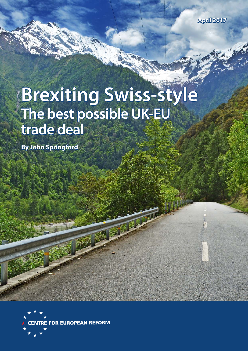

# **Brexiting Swiss-style The best possible UK-EU trade deal**

**By John Springford**

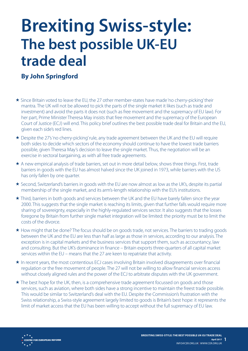## **Brexiting Swiss-style: The best possible UK-EU trade deal**

### **By John Springford**

- Since Britain voted to leave the EU, the 27 other member-states have made 'no cherry-picking' their mantra. The UK will not be allowed to pick the parts of the single market it likes (such as trade and investment) and avoid the parts it does not (such as free movement and the supremacy of EU law). For her part, Prime Minister Theresa May insists that free movement and the supremacy of the European Court of Justice (ECJ) will end. This policy brief outlines the best possible trade deal for Britain and the EU, given each side's red lines.
- Despite the 27's 'no cherry-picking' rule, any trade agreement between the UK and the EU will require both sides to decide which sectors of the economy should continue to have the lowest trade barriers possible, given Theresa May's decision to leave the single market. Thus, the negotiation will be an exercise in sectoral bargaining, as with all free trade agreements.
- \* A new empirical analysis of trade barriers, set out in more detail below, shows three things. First, trade barriers in goods with the EU has almost halved since the UK joined in 1973, while barriers with the US has only fallen by one quarter.
- Second, Switzerland's barriers in goods with the EU are now almost as low as the UK's, despite its partial membership of the single market, and its arm's-length relationship with the EU's institutions.
- Third, barriers in both goods and services between the UK and the EU have barely fallen since the year 2000. This suggests that the single market is reaching its limits, given that further falls would require more sharing of sovereignty, especially in the highly-regulated services sector. It also suggests that the losses foregone by Britain from further single market integration will be limited: the priority must be to limit the costs of the divorce.
- \* How might that be done? The focus should be on goods trade, not services. The barriers to trading goods between the UK and the EU are less than half as large as those in services, according to our analysis. The exception is in capital markets and the business services that support them, such as accountancy, law and consulting. But the UK's dominance in finance – Britain exports three-quarters of all capital market services within the EU – means that the 27 are keen to repatriate that activity.
- In recent years, the most contentious ECJ cases involving Britain involved disagreements over financial regulation or the free movement of people. The 27 will not be willing to allow financial services access without closely aligned rules and the power of the ECJ to arbitrate disputes with the UK government.
- $\star$  The best hope for the UK, then, is a comprehensive trade agreement focussed on goods and those services, such as aviation, where both sides have a strong incentive to maintain the freest trade possible. This would be similar to Switzerland's deal with the EU. Despite the Commission's frustration with the Swiss relationship, a Swiss-style agreement largely limited to goods is Britain's best hope: it represents the limit of market access that the EU has been willing to accept without the full supremacy of EU law.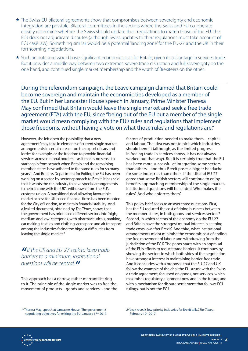- \* The Swiss-EU bilateral agreements show that compromises between sovereignty and economic integration are possible. Bilateral committees in the sectors where the Swiss and EU co-operate closely determine whether the Swiss should update their regulations to match those of the EU. The ECJ does not adjudicate disputes (although Swiss updates to their regulations must take account of ECJ case law). Something similar would be a potential 'landing zone' for the EU-27 and the UK in their forthcoming negotiations.
- Such an outcome would have significant economic costs for Britain, given its advantage in services trade. But it provides a middle way between two extremes: severe trade disruption and full sovereignty on the one hand, and continued single market membership and the wrath of Brexiteers on the other.

During the referendum campaign, the Leave campaign claimed that Britain could become sovereign and maintain the economic ties developed as a member of the EU. But in her Lancaster House speech in January, Prime Minister Theresa May confirmed that Britain would leave the single market and seek a free trade agreement (FTA) with the EU, since "being out of the EU but a member of the single market would mean complying with the EU's rules and regulations that implement those freedoms, without having a vote on what those rules and regulations are."

However, she left open the possibility that a new agreement "may take in elements of current single market arrangements in certain areas – on the export of cars and lorries for example, or the freedom to provide financial services across national borders – as it makes no sense to start again from scratch when Britain and the remaining member-states have adhered to the same rules for so many years".<sup>1</sup> And Britain's Department for Exiting the EU has been working on a sector-by-sector approach to Brexit. It has said that it wants the car industry to have special arrangements to help it cope with the UK's withdrawal from the EU's customs union. A transitional deal allowing favourable market access for UK-based financial firms has been mooted for the City of London, to maintain financial stability. And a leaked document, obtained by *The Times*, shows that the government has prioritised different sectors into 'high, medium and low' categories, with pharmaceuticals, banking, car making, textiles and clothing, aerospace and air transport among the industries facing the biggest difficulties from leaving the single market.<sup>2</sup>

*"If the UK and EU-27 seek to keep trade barriers to a minimum, institutional questions will be central."*

This approach has a narrow, rather mercantilist ring to it. The principle of the single market was to free the movement of products – goods and services – and the

factors of production needed to make them – capital and labour. The idea was not to pick which industries should benefit (although, as the limited progress in freeing trade in services shows, it has not always worked out that way). But it is certainly true that the EU has been more successful at integrating some sectors than others – and thus Brexit poses a bigger headache for some industries than others. If the UK and EU-27 agree that some British sectors will continue to enjoy benefits approaching membership of the single market, institutional questions will be central. Who makes the rules? And who enforces them?

This policy brief seeks to answer three questions. First, has the EU reduced the cost of doing business between the member-states, in both goods and services sectors? Second, in which sectors of the economy do the EU-27 and Britain have the strongest mutual interest in keeping trade costs low after Brexit? And third, what institutional arrangements might minimise the economic cost of ending the free movement of labour and withdrawing from the jurisdiction of the ECJ? The paper starts with an appraisal of the EU's efforts to reduce trade barriers. It continues by showing the sectors in which both sides of the negotiation have strongest interest in maintaining barrier-free trade. And it concludes with a proposal: that the EU-27 and UK follow the example of the deal the EU struck with the Swiss: a trade agreement, focussed on goods, not services, which maximises regulatory alignment now and in the future, and with a mechanism for dispute settlement that follows ECJ rulings, but is not the ECJ.

*1:* Theresa May, speech at Lancaster House, 'The government's negotiating objectives for exiting the EU', January 17<sup>th</sup> 2017. *2:* 'Leak reveals low-priority industries for Brexit talks', *The Times*, February 10th 2017.

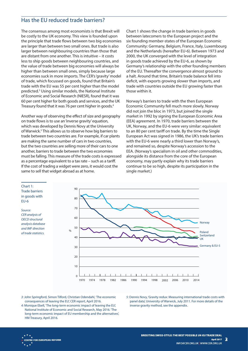#### Has the EU reduced trade barriers?

The consensus among most economists is that Brexit will be costly to the UK economy. This view is founded upon the principle that trade flows between two big economies are larger than between two small ones. But trade is also larger between neighbouring countries than those that are distant from one another. This is intuitive – it costs less to ship goods between neighbouring countries, and the value of trade between big economies will always be higher than between small ones, simply because large economies suck in more imports. The CER's 'gravity' model of trade, which focussed on goods, found that Britain's trade with the EU was 55 per cent higher than the model predicted.3 Using similar models, the National Institute of Economic and Social Research (NIESR), found that it was 60 per cent higher for both goods and services, and the UK Treasury found that it was 76 per cent higher in goods.4

Another way of observing the effect of size and geography on trade flows is to use an 'inverse gravity' equation, which was developed by Dennis Novy at the University of Warwick.<sup>5</sup> This allows us to observe how big barriers to trade between two countries are. For example, if car plants are making the same number of cars in two countries, but the two countries are selling more of their cars to one another, barriers to trade between the two economies must be falling. This measure of the trade costs is expressed as a percentage equivalent to a tax rate – such as a tariff. If the cost of trading a widget were zero, it would cost the same to sell that widget abroad as at home.

Chart 1 shows the change in trade barriers in goods between latecomers to the European project and the six founding member-states of the European Economic Community: Germany, Belgium, France, Italy, Luxembourg and the Netherlands (hereafter EU-6). Between 1973 and 2000, the UK converged with the level of integration in goods trade achieved by the EU-6, as shown by Germany's relationship with the other founding members of the EU. Thereafter the convergence almost ground to a halt. Around that time, Britain's trade balance fell into deficit, with exports growing slower than imports, and trade with countries outside the EU growing faster than those within it.

Norway's barriers to trade with the then European Economic Community fell much more slowly. Norway did not join the bloc in 1973, but joined the single market in 1992 by signing the European Economic Area (EEA) agreement. In 1970, trade barriers between the UK, Norway, and the EU-6 were very similar: equivalent to an 80 per cent tariff on trade. By the time the Single European Act was signed in 1986, the UK's trade barriers with the EU-6 were nearly a third lower than Norway's, and remained so, despite Norway's accession to the EEA. (Norway's specialism in oil and other commodities, alongside its distance from the core of the European economy, may partly explain why its trade barriers continue to be so high, despite its participation in the single market.)

#### Chart 1: Trade barriers in goods with EU-6

*Source: CER analysis of OECD structural analysis database and IMF direction of trade statistics.*



- consequences of leaving the EU', CER report, April 2016.
- *5:* Dennis Novy, 'Gravity redux: Measuring international trade costs with panel data', University of Warwick, July 2011. For more details of the inverse gravity method, see the appendix.
- 3*:* John Springford, Simon Tilford, Christian Odendahl, 'The economic<br>
consequences of leaving the EU', CER report, April 2016.<br>
4: Monique Ebell, 'The long-term economic impact of leaving the EU',<br>
Ational Institute of E *4:* Monique Ebell, 'The long-term economic impact of leaving the EU', National Institute of Economic and Social Research, May 2016. 'The long-term economic impact of EU membership and the alternatives', HM Treasury, April 2016.

**2**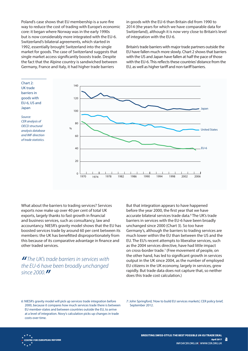Poland's case shows that EU membership is a sure-fire way to reduce the cost of trading with Europe's economic core: it began where Norway was in the early 1990s but is now considerably more integrated with the EU-6. Switzerland's bilateral agreements, which started in 1992, essentially brought Switzerland into the single market for goods. The case of Switzerland suggests that single market access significantly boosts trade. Despite the fact that the Alpine country is sandwiched between Germany, France and Italy, it had higher trade barriers

in goods with the EU-6 than Britain did from 1990 to 2014 (the years for which we have comparable data for Switzerland), although it is now very close to Britain's level of integration with the EU-6.

Britain's trade barriers with major trade partners outside the EU have fallen much more slowly. Chart 2 shows that barriers with the US and Japan have fallen at half the pace of those with the EU-6. This reflects these countries' distance from the EU, as well as higher tariff and non-tariff barriers.



What about the barriers to trading services? Services exports now make up over 40 per cent of total UK exports, largely thanks to fast growth in financial and business services, such as consultancy, law and accountancy. NIESR's gravity model shows that the EU has boosted services trade by around 60 per cent between its members: the UK has benefitted disproportionately from this because of its comparative advantage in finance and other traded services.

*" The UK's trade barriers in services with the EU-6 have been broadly unchanged since 2000."*

But that integration appears to have happened before the year 2000, the first year that we have accurate bilateral services trade data.<sup>6</sup> The UK's trade barriers in services with the EU-6 have been broadly unchanged since 2000 (Chart 3). So too have Germany's, although the barriers to trading services are much lower within the EU than between the US and the EU. The EU's recent attempts to liberalise services, such as the 2004 services directive, have had little impact on cross-border trade.<sup>7</sup> (Free movement of people, on the other hand, has led to significant growth in services output in the UK since 2004, as the number of employed EU citizens in the UK economy, largely in services, grew rapidly. But trade data does not capture that, so neither does this trade cost calculation.)

*7:* John Springford, 'How to build EU services markets', CER policy brief, September 2012.

**2**

<sup>6:</sup> NIESR's gravity model will pick up services trade integration before 2012.<br>
4<br>
4 a level of integration. Novy's calculation picks up changes in trade<br>
4 a level of integration. Novy's calculation picks up changes in tra 2000, because it compares how much services trade there is between EU member-states and between countries outside the EU, to arrive at a level of integration. Novy's calculation picks up changes in trade costs over time.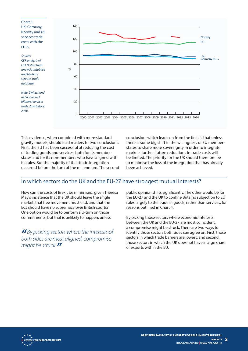Chart 3: UK, Germany, Norway and US services trade costs with the EU-6

*Source: CER analysis of OECD structural analysis database and bilateral services trade database.*

*Note: Switzerland did not record bilateral services trade data before 2010.*



gravity models, should lead readers to two conclusions. First, the EU has been successful at reducing the cost of trading goods and services, both for its memberstates and for its non-members who have aligned with its rules. But the majority of that trade integration occurred before the turn of the millennium. The second conclusion, which leads on from the first, is that unless there is some big shift in the willingness of EU memberstates to share more sovereignty in order to integrate markets further, future reductions in trade costs will be limited. The priority for the UK should therefore be to minimise the loss of the integration that has already been achieved.

### In which sectors do the UK and the EU-27 have strongest mutual interests?

How can the costs of Brexit be minimised, given Theresa May's insistence that the UK should leave the single market, that free movement must end, and that the ECJ should have no supremacy over British courts? One option would be to perform a U-turn on those commitments, but that is unlikely to happen, unless

*" By picking sectors where the interests of both sides are most aligned, compromise might be struck."*

public opinion shifts significantly. The other would be for the EU-27 and the UK to confine Britain's subjection to EU rules largely to the trade in goods, rather than services, for reasons outlined in Chart 4.

This evidence, when continued with more standard<br> **Straighting the standard standard standard standard standard standard standard standard standard standard standard standard standard standard in the standard standard in t** By picking those sectors where economic interests between the UK and the EU-27 are most coincident, a compromise might be struck. There are two ways to identify those sectors both sides can agree on. First, those sectors in which trade barriers are lowest; and second, those sectors in which the UK does not have a large share of exports within the EU.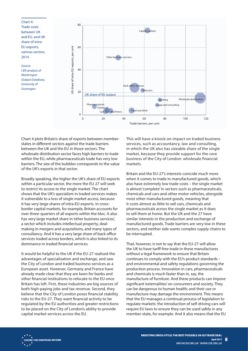Chart 4: Trade costs between UK and EU, and UK share of intra-EU exports, various sectors, 2014

*Source: CER analysis of World Input-Output Database, University of Groningen.*



states in different sectors against the trade barriers between the UK and the EU in those sectors. The wholesale distribution sector faces high barriers to trade within the EU, while pharmaceuticals trade has very low barriers. The size of the bubbles corresponds to the value of the UK's exports in that sector.

Broadly speaking, the higher the UK's share of EU exports within a particular sector, the more the EU-27 will seek to restrict its access to the single market. The chart shows that the UK's specialism in traded services makes it vulnerable to a loss of single market access, because it has very large shares of intra-EU exports. In crossborder capital markets, for example, Britain accounts for over three-quarters of all exports within the bloc. It also has very large market share in 'other business services', a sector which includes intellectual property, dealmaking in mergers and acquisitions, and many types of consultancy. And it has a very large share of back office services traded across borders, which is also linked to its dominance in traded financial services.

It would be helpful to the UK if the EU-27 realised the advantages of specialisation and exchange, and saw the City of London and traded business services as a European asset. However, Germany and France have already made clear that they are keen for banks and other financial institutions to relocate to the EU once Britain has left. First, these industries are big sources of both high-paying jobs and tax revenue. Second, they believe that the City of London poses financial stability risks to the EU-27. They want financial activity to be regulated by the EU authorities and greater restrictions to be placed on the City of London's ability to provide capital market services across the EU.

This will have a knock-on impact on traded business services, such as accountancy, law and consulting, in which the UK also has sizeable share of the single market, because they provide support for the core business of the City of London: wholesale financial markets.

Britain and the EU-27's interests coincide much more when it comes to trade in manufactured goods, which also have extremely low trade costs – the single market is almost 'complete' in sectors such as pharmaceuticals, chemicals and cars and other motor vehicles, alongside most other manufactured goods, meaning that it costs almost as little to sell cars, chemicals and pharmaceuticals across the single market as it does to sell them at home. But the UK and the 27 have similar interests in the production and exchange of manufactured goods. Trade barriers are very low in these sectors, and neither side wants complex supply chains to be interrupted.

Chart 4 plots Britain's share are separated to the FU in the Vi library as has between the detuning to the sector. The set of the set of the set of the set of the set of the set of the set of the set of the set of the set That, however, is not to say that the EU-27 will allow the UK to have tariff-free trade in these manufactures without a legal framework to ensure that Britain continues to comply with the EU's product standards – and environmental and safety regulations governing the production process. Innovation in cars, pharmaceuticals and chemicals is much faster than in, say, the manufacture of furniture. And these products can impose significant 'externalities' on consumers and society. They can be dangerous to human health; and their use or manufacture may damage the environment. This means that the EU manages a continual process of legislation to regulate markets: the introduction of self-driving cars will require EU laws to ensure they can be used safely in any member-state, for example. And it also means that the EU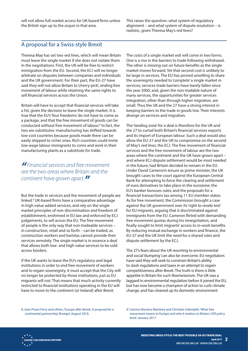will not allow full market access for UK-based firms unless the British sign up to the *acquis* in that area.

This raises the question: what system of regulatory alignment – and what system of dispute resolution – is realistic, given Theresa May's red lines?

#### A proposal for a Swiss-style Brexit

Theresa May has set two red lines, which will mean Britain must leave the single market if she does not violate them in the negotiations. First, the UK will be free to restrict immigration from the EU. Second, the ECJ will no longer arbitrate on disputes between companies and individuals and the UK government. For their part, the EU-27 have said they will not allow Britain to 'cherry-pick', ending free movement of labour while retaining the same rights to sell financial services across the Union.

Britain will have to accept that financial services will take a hit, given the decision to leave the single market. It is true that the EU's 'four freedoms' do not have to come as a package, and that the free movement of goods can be conducted without free movement of labour.<sup>8</sup> In fact, the two are substitutes: manufacturing has shifted towards low-cost countries because goods made there can be easily shipped to richer ones. Rich countries could invite low-wage labour immigrants to come and work in their manufacturing plants as a substitute for trade.

*" Financial services and free movement are the two areas where Britain and the continent have grown apart."*

But the trade in services and the movement of people are linked.9 UK-based firms have a comparative advantage in high-value added services, and rely on the single market principles of non-discrimination and freedom of establishment, enshrined in EU law and enforced by ECJ judgements, to sell across the EU. The free movement of people is the only way that non-tradeable services – in construction, retail and so forth – can be traded, as construction workers and baristas cannot provide their services remotely. The single market is in essence a deal that allows both low- and high-value services to be sold across borders.

If the UK wants to leave the EU's regulatory and legal institutions in order to end free movement of workers and to regain sovereignty, it must accept that the City will no longer be protected by those institutions, just as EU migrants will not. That means that much activity currently restricted to financial institutions operating in the EU will have to move to the continent (or Ireland) after Brexit.

The costs of a single market exit will come in two forms. One is a rise in the barriers to trade following withdrawal. The other is missing out on future benefits as the single market moves forward. Yet that second cost is unlikely to be large in services. The EU has proved unwilling to share the sovereignty needed to 'complete' a single market in services; services trade barriers have barely fallen since the year 2000, and, given the non-tradable nature of many services, the opportunities for greater services integration, other than through higher migration, are small. Thus the UK and the 27 have a strong interest in keeping barriers to the trade in goods low. Their interests diverge on services and migration.

The 'landing zone' for a deal is therefore for the UK and the 27 to curtail both Britain's financial services exports and its import of European labour. Such a deal would also allow the EU-27 and the UK to compromise on the second of May's red lines: the ECJ. The free movement of financial services and the free movement of labour are the two areas where the continent and the UK have grown apart – and where ECJ dispute settlement would be most needed in the future, had Britain decided to remain in the EU. Under David Cameron's tenure as prime minister, the UK brought cases to the court against the European Central Bank for attempting to force the clearing and settlement of euro derivatives to take place in the eurozone; the EU's banker bonuses rules; and the proposals for a financial transactions tax among 11 EU member-states. As for free movement, the Commission brought a case against the UK government over its 'right to reside test' for EU migrants, arguing that it discriminated against immigrants from the EU. Cameron flirted with demanding free movement quotas during his renegotiation, and finally sought to limit migrants' access to in-work benefits. By reducing mutual exchange in workers and finance, the EU-27 and the UK limit the need for a shared rules and dispute settlement by the ECJ.

The 27's fears about the UK resorting to environmental and social 'dumping' can also be overcome. EU negotiators have said they will seek to constrain Britain's ability to slash regulations and taxes in an attempt to regain competitiveness after Brexit. The truth is there is little appetite in Britain for such libertarianism. The UK was a laggard in environmental regulation before it joined the EU, but has now become a champion of action to curb climate change, and has cleaned up its domestic environment

continental partnership', Bruegel, August 2016.

*8*: Jean Pisani-Ferry and others, 'Europe after Brexit: A proposal for a<br>
continental partnership', Bruegel, August 2016.<br> **7**<sup>2</sup>*8* Finally 2017.<br> **7**<sup>2</sup> EREXITING SWISS-STYLE: THE BEST POSSIBLE UK-EU TRADE DEAL<br> **8REX** *9:* Camino Mortera-Martinez and Christian Odendahl, 'What free movement means to Europe and why it matters to Britain', CER policy brief, January 2017.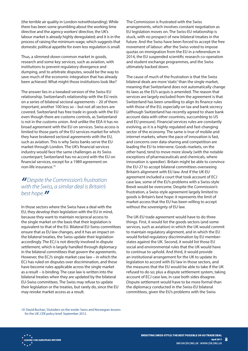(the terrible air quality in London notwithstanding). While there has been some grumbling about the working time directive and the agency workers' directive, the UK's labour market is already highly deregulated; and it is in the process of raising the minimum wage, which suggests that domestic political appetite for even less regulation is small.

Thus, a slimmed-down common market in goods, research and some key services, such as aviation, with institutions to prevent regulatory divergence and dumping, and to arbitrate disputes, would be the way to save much of the economic integration that has already been achieved. What might those institutions look like?

The answer lies in a tweaked version of the Swiss-EU relationship. Switzerland's relationship with the EU rests on a series of bilateral sectoral agreements – 20 of them important, another 100 less so – but not all sectors are covered. Switzerland has free trade in goods with the EU even though there are customs controls, as Switzerland is not in the customs union. And unlike the EEA it has no broad agreement with the EU on services. Swiss access is limited to those parts of the EU services market for which they have brokered sectoral agreements with the EU, such as aviation. This is why Swiss banks serve the EU market through London. The UK's financial services industry would face the same challenges as its Swiss counterpart; Switzerland has no accord with the EU on financial services, except for a 1989 agreement on non-life insurance.10

### *"Despite the Commission's frustration with the Swiss, a similar deal is Britain's best hope."*

In those sectors where the Swiss have a deal with the EU, they develop their legislation with the EU in mind, because they want to maintain reciprocal access to the single market on the basis that their legislation is equivalent to that of the EU. Bilateral EU-Swiss committees ensure that as EU law changes, and it has an impact on the bilateral treaties, the Swiss update their legislation accordingly. The ECJ is not directly involved in dispute settlement, which is largely handled through diplomacy in the bilateral committees that govern the agreements. However, the ECJ's single market case law – in which the ECJ has ruled on disputes over discrimination, and these have become rules applicable across the single market as a result – is binding. The case law is written into the bilateral treaties when they are updated by the bilateral EU-Swiss committees. The Swiss may refuse to update their legislation or the treaties, but rarely do, since the EU may revoke market access as a result.

The Commission is frustrated with the Swiss arrangements, which involves constant negotiation as EU legislation moves on. The Swiss-EU relationship is stuck, with no prospect of new bilateral treaties in the future. And the Swiss have been forced to accept the free movement of labour: after the Swiss voted to impose quotas on immigration from the EU in a referendum in 2014, the EU suspended scientific research co-operation and student exchange programmes, and the Swiss ultimately backed down.

The cause of much of the frustration is that the Swiss bilateral deals are more 'static' than the single market, meaning that Switzerland does not automatically change its laws as the EU's acquis is amended. The reason that services are largely excluded from the agreement is that Switzerland has been unwilling to align its finance rules with those of the EU, especially on tax and bank secrecy (although Switzerland has recently agreed to share bank account data with other countries, succumbing to US and EU pressure). Financial services rules are constantly evolving, as it is a highly regulated and fast-changing sector of the economy. The same is true of mobile and internet markets, where the pace of innovation is fast, and concerns over data-sharing and competition are leading the EU to intervene. Goods markets, on the other hand, tend to move more slowly (with the notable exceptions of pharmaceuticals and chemicals, where innovation is speedier). Britain might be able to convince the EU-27 to accept bilateral committees overseeing Britain's alignment with EU law. And if the UK-EU agreement included a court that took account of ECJ case law, some of the EU's problems with a Swiss-style Brexit would be overcome. Despite the Commission's frustration, a Swiss-style agreement largely limited to goods is Britain's best hope: it represents the limit of market access that the EU has been willing to accept without the sovereignty of EU law.

The UK-EU trade agreement would have to do three things. First, it would list the goods sectors (and some services, such as aviation) in which the UK would commit to maintain regulatory alignment, and in which the EU would forbid regulatory discrimination by EU memberstates against the UK. Second, it would list those EU social and environmental rules that the UK would have to continue to uphold. And third, it would provide an institutional arrangement for the UK to update its legislation to accord with EU law in those sectors, and the measures that the EU would be able to take if the UK refused to do so; plus a dispute settlement system, taking account of ECJ case law, in case both sides disagree. Dispute settlement would have to be more formal than the diplomacy conducted in the Swiss-EU bilateral committees, given the EU's problems with the Swiss

10: David Buchan, 'Outsiders on the inside: Swiss and Norwegian lessons<br>for the UK', CER policy brief, September 2012.<br>\* CENTRE FOR EUROPEAN REFORM<br>\* CENTRE FOR EUROPEAN REFORM<br>April 2017 for the UK', CER policy brief, September 2012.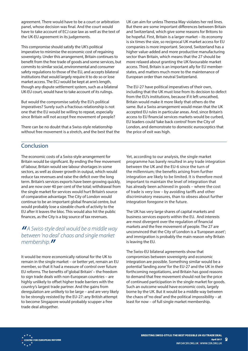panel, whose decision was final. And the court would have to take account of ECJ case law as well as the text of the UK-EU agreement in its judgements.

This compromise should satisfy the UK's political imperative to minimise the economic cost of regaining sovereignty. Under this arrangement, Britain continues to benefit from the free trade of goods and some services, but commits to similar social, environmental and consumer safety regulations to those of the EU, and accepts bilateral institutions that would largely require it to do so or lose market access. The ECJ would be kept at arm's length, though any dispute settlement system, such as a bilateral UK-EU court, would have to take account of its rulings.

But would the compromise satisfy the EU's political imperatives? Surely such a fractious relationship is not one that the EU would be willing to repeat, especially since Britain will not accept free movement of people?

There can be no doubt that a Swiss-style relationship without free movement is a stretch, and the best that the UK can aim for unless Theresa May violates her red lines. But there are some important differences between Britain and Switzerland, which give some reasons for Britons to be hopeful. First, Britain is a larger market – its economy is six times the size, so reciprocal UK market access for EU companies is more important. Second, Switzerland has a higher value-added and more productive manufacturing sector than Britain, which means that the 27 should be more relaxed about granting the UK favourable market access. Third, Britain is an important ally for EU memberstates, and matters much more to the maintenance of European order than neutral Switzerland.

The EU-27 have political imperatives of their own, including that the UK must lose from its decision to defect from the EU's institutions, because if it left unscathed, Britain would make it more likely that others do the same. But a Swiss arrangement would mean that the UK accepted EU rules in particular areas. And, since Britain's access to EU financial services markets would be curbed, EU leaders could 'take back control' from the City of London, and demonstrate to domestic eurosceptics that the price of exit was high.

#### **Conclusion**

**Experiment. These vectors have a strength and the main for arbitration between the strength or arbitration in the strength or arbitration in the strength or arbitration in the strength or arbitration in the strength or ar** The economic costs of a Swiss-style arrangement for Britain would be significant. By ending the free movement of labour, Britain would see labour shortages in some sectors, as well as slower growth in output, which would reduce tax revenues and raise the deficit over the long term. Britain's services exports have been growing quickly, and are now over 40 per cent of the total; withdrawal from the single market for services would hurt Britain's source of comparative advantage. The City of London would continue to be an important global financial centre, but would probably lose a sizeable chunk of activity to the EU after it leaves the bloc. This would also hit the public finances, as the City is a big source of tax revenues.

#### *"A Swiss-style deal would be a middle way between 'no deal' chaos and single market membership."*

It would be more economically rational for the UK to remain in the single market – or better yet, remain an EU member, so that it had a measure of control over future EU reforms. The benefits of 'global Britain' – the freedom to sign trade deals with non-European countries – are highly unlikely to offset higher trade barriers with the country's largest trade partner. And the gains from deregulation are unlikely to be large – and are very likely to be strongly resisted by the EU-27: any British attempt to become Singapore would probably scupper a free trade deal altogether.

Yet, according to our analysis, the single market programme has barely resulted in any trade integration between the UK and the EU-6 since the turn of the millennium; the benefits arising from further integration are likely to be limited. It is therefore most important to maintain the level of integration that has already been achieved in goods – where the cost of trade is very low – by avoiding tariffs and other discriminatory measures, than to obsess about further integration foregone in the future.

The UK has very large shares of capital markets and business services exports within the EU. And interests are most divergent over the regulation of financial markets and the free movement of people. The 27 are unconvinced that the City of London is a 'European asset'; and immigration is probably the main reason why Britain is leaving the EU.

The Swiss-EU bilateral agreements show that compromises between sovereignty and economic integration are possible. Something similar would be a potential 'landing zone' for the EU-27 and the UK in their forthcoming negotiations, and Britain has good reasons to demand that free movement should not be the price of continued participation in the single market for goods. Such an outcome would have economic costs, largely borne by the UK. But it would be a middle way between the chaos of 'no deal' and the political impossibility – at least for now – of full single market membership.